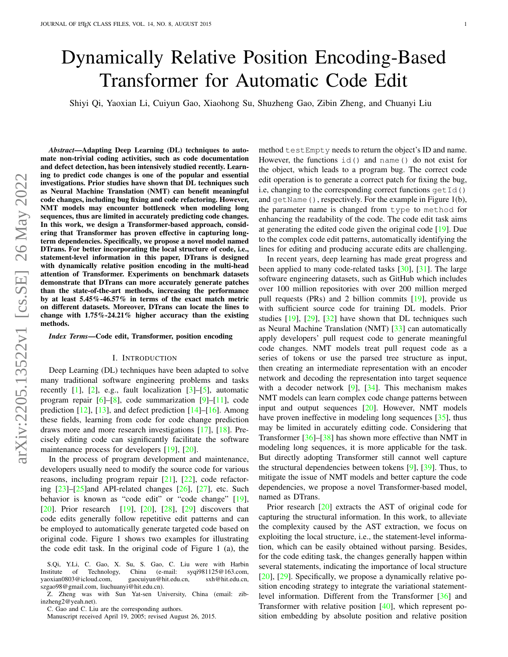# Dynamically Relative Position Encoding-Based Transformer for Automatic Code Edit

Shiyi Qi, Yaoxian Li, Cuiyun Gao, Xiaohong Su, Shuzheng Gao, Zibin Zheng, and Chuanyi Liu

*Abstract*—Adapting Deep Learning (DL) techniques to automate non-trivial coding activities, such as code documentation and defect detection, has been intensively studied recently. Learning to predict code changes is one of the popular and essential investigations. Prior studies have shown that DL techniques such as Neural Machine Translation (NMT) can benefit meaningful code changes, including bug fixing and code refactoring. However, NMT models may encounter bottleneck when modeling long sequences, thus are limited in accurately predicting code changes. In this work, we design a Transformer-based approach, considering that Transformer has proven effective in capturing longterm dependencies. Specifically, we propose a novel model named DTrans. For better incorporating the local structure of code, i.e., statement-level information in this paper, DTrans is designed with dynamically relative position encoding in the multi-head attention of Transformer. Experiments on benchmark datasets demonstrate that DTrans can more accurately generate patches than the state-of-the-art methods, increasing the performance by at least 5.45%-46.57% in terms of the exact match metric on different datasets. Moreover, DTrans can locate the lines to change with 1.75%-24.21% higher accuracy than the existing methods.

# *Index Terms*—Code edit, Transformer, position encoding

# I. INTRODUCTION

Deep Learning (DL) techniques have been adapted to solve many traditional software engineering problems and tasks recently  $[1]$ ,  $[2]$ , e.g., fault localization  $[3]$ – $[5]$ , automatic program repair [\[6\]](#page-12-4)–[\[8\]](#page-12-5), code summarization [\[9\]](#page-12-6)–[\[11\]](#page-13-0), code prediction  $[12]$ ,  $[13]$ , and defect prediction  $[14]$ – $[16]$ . Among these fields, learning from code for code change prediction draws more and more research investigations [\[17\]](#page-13-5), [\[18\]](#page-13-6). Precisely editing code can significantly facilitate the software maintenance process for developers [\[19\]](#page-13-7), [\[20\]](#page-13-8).

In the process of program development and maintenance, developers usually need to modify the source code for various reasons, including program repair [\[21\]](#page-13-9), [\[22\]](#page-13-10), code refactoring  $[23]$ – $[25]$ and API-related changes  $[26]$ ,  $[27]$ , etc. Such behavior is known as "code edit" or "code change" [\[19\]](#page-13-7), [\[20\]](#page-13-8). Prior research [\[19\]](#page-13-7), [20], [\[28\]](#page-13-15), [\[29\]](#page-13-16) discovers that code edits generally follow repetitive edit patterns and can be employed to automatically generate targeted code based on original code. Figure [1](#page-1-0) shows two examples for illustrating the code edit task. In the original code of Figure [1](#page-1-0) (a), the method testEmpty needs to return the object's ID and name. However, the functions id() and name() do not exist for the object, which leads to a program bug. The correct code edit operation is to generate a correct patch for fixing the bug, i.e, changing to the corresponding correct functions  $\det I d()$ and getName(), respectively. For the example in Figure [1\(](#page-1-0)b), the parameter name is changed from type to method for enhancing the readability of the code. The code edit task aims at generating the edited code given the original code [\[19\]](#page-13-7). Due to the complex code edit patterns, automatically identifying the lines for editing and producing accurate edits are challenging.

In recent years, deep learning has made great progress and been applied to many code-related tasks  $[30]$ ,  $[31]$ . The large software engineering datasets, such as GitHub which includes over 100 million repositories with over 200 million merged pull requests (PRs) and 2 billion commits [\[19\]](#page-13-7), provide us with sufficient source code for training DL models. Prior studies [\[19\]](#page-13-7), [\[29\]](#page-13-16), [\[32\]](#page-13-19) have shown that DL techniques such as Neural Machine Translation (NMT) [\[33\]](#page-13-20) can automatically apply developers' pull request code to generate meaningful code changes. NMT models treat pull request code as a series of tokens or use the parsed tree structure as input, then creating an intermediate representation with an encoder network and decoding the representation into target sequence with a decoder network  $[9]$ ,  $[34]$ . This mechanism makes NMT models can learn complex code change patterns between input and output sequences [\[20\]](#page-13-8). However, NMT models have proven ineffective in modeling long sequences [\[35\]](#page-13-22), thus may be limited in accurately editting code. Considering that Transformer [\[36\]](#page-13-23)–[\[38\]](#page-13-24) has shown more effective than NMT in modeling long sequences, it is more applicable for the task. But directly adopting Transformer still cannot well capture the structural dependencies between tokens  $[9]$ ,  $[39]$ . Thus, to mitigate the issue of NMT models and better capture the code dependencies, we propose a novel Transformer-based model, named as DTrans.

Prior research [\[20\]](#page-13-8) extracts the AST of original code for capturing the structural information. In this work, to alleviate the complexity caused by the AST extraction, we focus on exploiting the local structure, i.e., the statement-level information, which can be easily obtained without parsing. Besides, for the code editing task, the changes generally happen within several statements, indicating the importance of local structure [\[20\]](#page-13-8), [\[29\]](#page-13-16). Specifically, we propose a dynamically relative position encoding strategy to integrate the variational statementlevel information. Different from the Transformer [\[36\]](#page-13-23) and Transformer with relative position [\[40\]](#page-13-26), which represent position embedding by absolute position and relative position

S.Qi, Y.Li, C. Gao, X. Su, S. Gao, C. Liu were with Harbin Institute of Technology, China (e-mail: syqi981125@163.com, yaoxian0803@icloud.com, gaocuiyun@hit.edu.cn, sxh@hit.edu.cn, szgao98@gmail.com, liuchuanyi@hit.edu.cn).

Z. Zheng was with Sun Yat-sen University, China (email: zibinzheng2@yeah.net).

C. Gao and C. Liu are the corresponding authors.

Manuscript received April 19, 2005; revised August 26, 2015.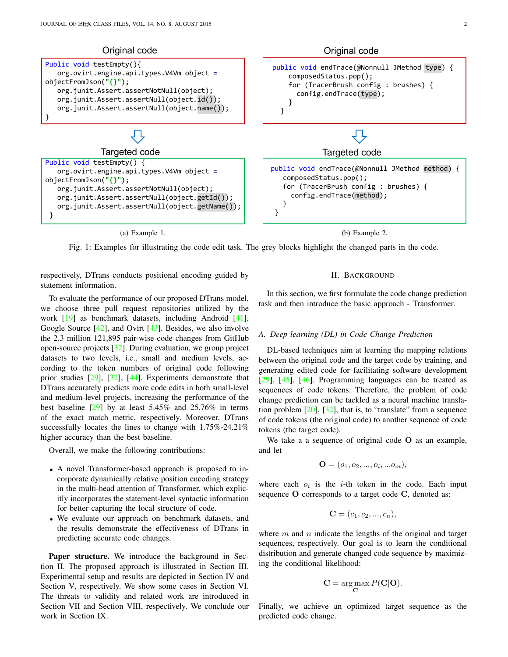<span id="page-1-0"></span>

Fig. 1: Examples for illustrating the code edit task. The grey blocks highlight the changed parts in the code.

respectively, DTrans conducts positional encoding guided by statement information.

To evaluate the performance of our proposed DTrans model, we choose three pull request repositories utilized by the work [\[19\]](#page-13-7) as benchmark datasets, including Android [\[41\]](#page-13-27), Google Source [\[42\]](#page-13-28), and Ovirt [\[43\]](#page-13-29). Besides, we also involve the 2.3 million 121,895 pair-wise code changes from GitHub open-source projects [\[32\]](#page-13-19). During evaluation, we group project datasets to two levels, i.e., small and medium levels, according to the token numbers of original code following prior studies [\[29\]](#page-13-16), [\[32\]](#page-13-19), [\[44\]](#page-13-30). Experiments demonstrate that DTrans accurately predicts more code edits in both small-level and medium-level projects, increasing the performance of the best baseline [\[29\]](#page-13-16) by at least 5.45% and 25.76% in terms of the exact match metric, respectively. Moreover, DTrans successfully locates the lines to change with 1.75%-24.21% higher accuracy than the best baseline.

Overall, we make the following contributions:

- A novel Transformer-based approach is proposed to incorporate dynamically relative position encoding strategy in the multi-head attention of Transformer, which explicitly incorporates the statement-level syntactic information for better capturing the local structure of code.
- We evaluate our approach on benchmark datasets, and the results demonstrate the effectiveness of DTrans in predicting accurate code changes.

Paper structure. We introduce the background in Section [II.](#page-1-1) The proposed approach is illustrated in Section [III.](#page-3-0) Experimental setup and results are depicted in Section [IV](#page-4-0) and Section [V,](#page-6-0) respectively. We show some cases in Section [VI.](#page-10-0) The threats to validity and related work are introduced in Section [VII](#page-10-1) and Section [VIII,](#page-10-2) respectively. We conclude our work in Section [IX.](#page-12-7)

#### II. BACKGROUND

<span id="page-1-1"></span>In this section, we first formulate the code change prediction task and then introduce the basic approach - Transformer.

# *A. Deep learning (DL) in Code Change Prediction*

DL-based techniques aim at learning the mapping relations between the original code and the target code by training, and generating edited code for facilitating software development [\[29\]](#page-13-16), [\[45\]](#page-13-31), [\[46\]](#page-13-32). Programming languages can be treated as sequences of code tokens. Therefore, the problem of code change prediction can be tackled as a neural machine translation problem  $[20]$ ,  $[32]$ , that is, to "translate" from a sequence of code tokens (the original code) to another sequence of code tokens (the target code).

We take a a sequence of original code  $O$  as an example, and let

$$
\mathbf{O} = (o_1, o_2, ..., o_i, ... o_m),
$$

where each  $o_i$  is the *i*-th token in the code. Each input sequence O corresponds to a target code C, denoted as:

$$
C = (c_1, c_2, ..., c_n),
$$

where  $m$  and  $n$  indicate the lengths of the original and target sequences, respectively. Our goal is to learn the conditional distribution and generate changed code sequence by maximizing the conditional likelihood:

$$
C = \underset{C}{\arg \max} P(C|O).
$$

Finally, we achieve an optimized target sequence as the predicted code change.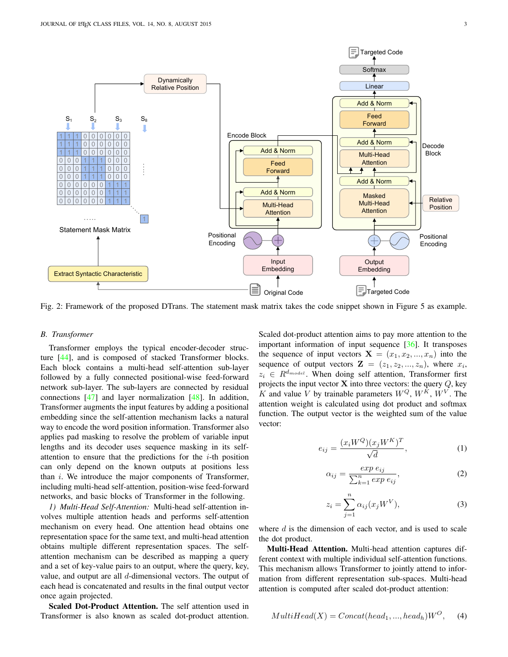<span id="page-2-0"></span>

Fig. 2: Framework of the proposed DTrans. The statement mask matrix takes the code snippet shown in Figure [5](#page-5-0) as example.

#### <span id="page-2-3"></span>*B. Transformer*

Transformer employs the typical encoder-decoder structure [\[44\]](#page-13-30), and is composed of stacked Transformer blocks. Each block contains a multi-head self-attention sub-layer followed by a fully connected positional-wise feed-forward network sub-layer. The sub-layers are connected by residual connections [\[47\]](#page-13-33) and layer normalization [\[48\]](#page-13-34). In addition, Transformer augments the input features by adding a positional embedding since the self-attention mechanism lacks a natural way to encode the word position information. Transformer also applies pad masking to resolve the problem of variable input lengths and its decoder uses sequence masking in its selfattention to ensure that the predictions for the  $i$ -th position can only depend on the known outputs at positions less than  $i$ . We introduce the major components of Transformer, including multi-head self-attention, position-wise feed-forward networks, and basic blocks of Transformer in the following.

*1) Multi-Head Self-Attention:* Multi-head self-attention involves multiple attention heads and performs self-attention mechanism on every head. One attention head obtains one representation space for the same text, and multi-head attention obtains multiple different representation spaces. The selfattention mechanism can be described as mapping a query and a set of key-value pairs to an output, where the query, key, value, and output are all d-dimensional vectors. The output of each head is concatenated and results in the final output vector once again projected.

Scaled Dot-Product Attention. The self attention used in Transformer is also known as scaled dot-product attention.

Scaled dot-product attention aims to pay more attention to the important information of input sequence [\[36\]](#page-13-23). It transposes the sequence of input vectors  $X = (x_1, x_2, ..., x_n)$  into the sequence of output vectors  $\mathbf{Z} = (z_1, z_2, ..., z_n)$ , where  $x_i$ ,  $z_i \in R^{d_{model}}$ . When doing self attention, Transformer first projects the input vector  $X$  into three vectors: the query  $Q$ , key K and value V by trainable parameters  $W^Q$ ,  $W^K$ ,  $W^V$ . The attention weight is calculated using dot product and softmax function. The output vector is the weighted sum of the value vector:

<span id="page-2-1"></span>
$$
e_{ij} = \frac{(x_i W^Q)(x_j W^K)^T}{\sqrt{d}},\tag{1}
$$

$$
\alpha_{ij} = \frac{\exp e_{ij}}{\sum_{k=1}^{n} \exp e_{ij}},\tag{2}
$$

<span id="page-2-2"></span>
$$
z_i = \sum_{j=1}^{n} \alpha_{ij}(x_j W^V), \tag{3}
$$

where  $d$  is the dimension of each vector, and is used to scale the dot product.

Multi-Head Attention. Multi-head attention captures different context with multiple individual self-attention functions. This mechanism allows Transformer to jointly attend to information from different representation sub-spaces. Multi-head attention is computed after scaled dot-product attention:

$$
MultiHead(X) = Concat(head_1, ..., head_h)W^O,
$$
 (4)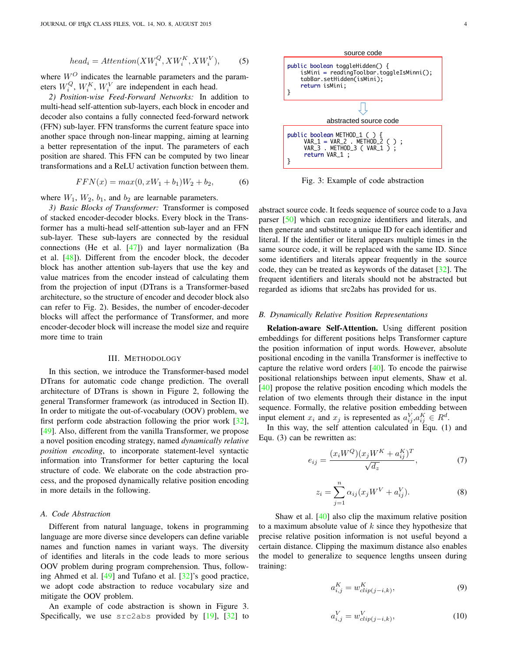$$
head_i =Attention(XW_i^Q, XW_i^K, XW_i^V),
$$
 (5)

where  $W^O$  indicates the learnable parameters and the parameters  $W_i^Q$ ,  $W_i^K$ ,  $W_i^V$  are independent in each head.

*2) Position-wise Feed-Forward Networks:* In addition to multi-head self-attention sub-layers, each block in encoder and decoder also contains a fully connected feed-forward network (FFN) sub-layer. FFN transforms the current feature space into another space through non-linear mapping, aiming at learning a better representation of the input. The parameters of each position are shared. This FFN can be computed by two linear transformations and a ReLU activation function between them.

$$
FFN(x) = max(0, xW_1 + b_1)W_2 + b_2,
$$
 (6)

where  $W_1$ ,  $W_2$ ,  $b_1$ , and  $b_2$  are learnable parameters.

*3) Basic Blocks of Transformer:* Transformer is composed of stacked encoder-decoder blocks. Every block in the Transformer has a multi-head self-attention sub-layer and an FFN sub-layer. These sub-layers are connected by the residual connections (He et al. [\[47\]](#page-13-33)) and layer normalization (Ba et al. [\[48\]](#page-13-34)). Different from the encoder block, the decoder block has another attention sub-layers that use the key and value matrices from the encoder instead of calculating them from the projection of input (DTrans is a Transformer-based architecture, so the structure of encoder and decoder block also can refer to Fig. [2\)](#page-2-0). Besides, the number of encoder-decoder blocks will affect the performance of Transformer, and more encoder-decoder block will increase the model size and require more time to train

# III. METHODOLOGY

<span id="page-3-0"></span>In this section, we introduce the Transformer-based model DTrans for automatic code change prediction. The overall architecture of DTrans is shown in Figure [2,](#page-2-0) following the general Transformer framework (as introduced in Section [II\)](#page-1-1). In order to mitigate the out-of-vocabulary (OOV) problem, we first perform code abstraction following the prior work [\[32\]](#page-13-19), [\[49\]](#page-13-35). Also, different from the vanilla Transformer, we propose a novel position encoding strategy, named *dynamically relative position encoding*, to incorporate statement-level syntactic information into Transformer for better capturing the local structure of code. We elaborate on the code abstraction process, and the proposed dynamically relative position encoding in more details in the following.

#### <span id="page-3-2"></span>*A. Code Abstraction*

Different from natural language, tokens in programming language are more diverse since developers can define variable names and function names in variant ways. The diversity of identifies and literals in the code leads to more serious OOV problem during program comprehension. Thus, following Ahmed et al. [\[49\]](#page-13-35) and Tufano et al. [\[32\]](#page-13-19)'s good practice, we adopt code abstraction to reduce vocabulary size and mitigate the OOV problem.

An example of code abstraction is shown in Figure [3.](#page-3-1) Specifically, we use src2abs provided by [\[19\]](#page-13-7), [\[32\]](#page-13-19) to

<span id="page-3-1"></span>

Fig. 3: Example of code abstraction

abstract source code. It feeds sequence of source code to a Java parser [\[50\]](#page-13-36) which can recognize identifiers and literals, and then generate and substitute a unique ID for each identifier and literal. If the identifier or literal appears multiple times in the same source code, it will be replaced with the same ID. Since some identifiers and literals appear frequently in the source code, they can be treated as keywords of the dataset  $[32]$ . The frequent identifiers and literals should not be abstracted but regarded as idioms that src2abs has provided for us.

#### <span id="page-3-3"></span>*B. Dynamically Relative Position Representations*

Relation-aware Self-Attention. Using different position embeddings for different positions helps Transformer capture the position information of input words. However, absolute positional encoding in the vanilla Transformer is ineffective to capture the relative word orders [\[40\]](#page-13-26). To encode the pairwise positional relationships between input elements, Shaw et al. [\[40\]](#page-13-26) propose the relative position encoding which models the relation of two elements through their distance in the input sequence. Formally, the relative position embedding between input element  $x_i$  and  $x_j$  is represented as  $a_{ij}^V, a_{ij}^K \in R^d$ .

In this way, the self attention calculated in Equ. [\(1\)](#page-2-1) and Equ. [\(3\)](#page-2-2) can be rewritten as:

$$
e_{ij} = \frac{(x_i W^Q)(x_j W^K + a_{ij}^K)^T}{\sqrt{d_z}},
$$
\n(7)

$$
z_i = \sum_{j=1}^{n} \alpha_{ij} (x_j W^V + a_{ij}^V).
$$
 (8)

Shaw et al. [\[40\]](#page-13-26) also clip the maximum relative position to a maximum absolute value of  $k$  since they hypothesize that precise relative position information is not useful beyond a certain distance. Clipping the maximum distance also enables the model to generalize to sequence lengths unseen during training:

$$
a_{i,j}^K = w_{clip(j-i,k)}^K,\tag{9}
$$

$$
a_{i,j}^V = w_{clip(j-i,k)}^V,\tag{10}
$$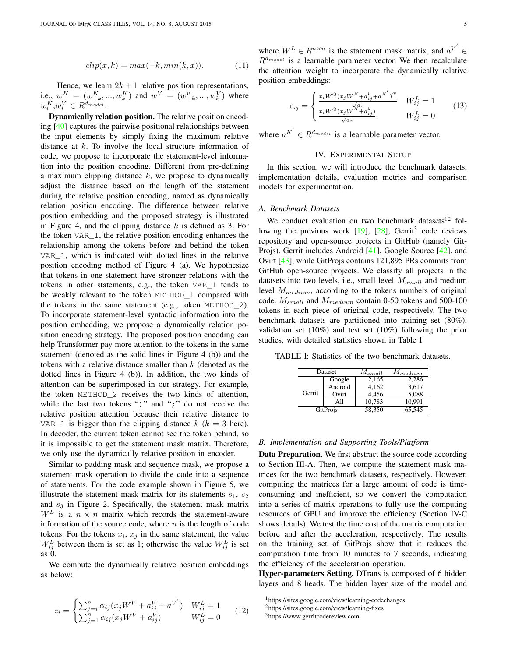$$
clip(x, k) = max(-k, min(k, x)).
$$
\n(11)

Hence, we learn  $2k + 1$  relative position representations, i.e.,  $w_1^K = (w_{-k}^K, ..., w_k^K)$  and  $w^V = (w_{-k}^v, ..., w_k^V)$  where  $w_i^K, w_i^V \in R^{d_{model}}$ .

Dynamically relation position. The relative position encoding [\[40\]](#page-13-26) captures the pairwise positional relationships between the input elements by simply fixing the maximum relative distance at k. To involve the local structure information of code, we propose to incorporate the statement-level information into the position encoding. Different from pre-defining a maximum clipping distance  $k$ , we propose to dynamically adjust the distance based on the length of the statement during the relative position encoding, named as dynamically relation position encoding. The difference between relative position embedding and the proposed strategy is illustrated in Figure [4,](#page-5-1) and the clipping distance  $k$  is defined as 3. For the token VAR\_1, the relative position encoding enhances the relationship among the tokens before and behind the token VAR\_1, which is indicated with dotted lines in the relative position encoding method of Figure [4](#page-5-1) (a). We hypothesize that tokens in one statement have stronger relations with the tokens in other statements, e.g., the token VAR\_1 tends to be weakly relevant to the token METHOD\_1 compared with the tokens in the same statement (e.g., token METHOD\_2). To incorporate statement-level syntactic information into the position embedding, we propose a dynamically relation position encoding strategy. The proposed position encoding can help Transformer pay more attention to the tokens in the same statement (denoted as the solid lines in Figure [4](#page-5-1) (b)) and the tokens with a relative distance smaller than  $k$  (denoted as the dotted lines in Figure [4](#page-5-1) (b)). In addition, the two kinds of attention can be superimposed in our strategy. For example, the token METHOD\_2 receives the two kinds of attention, while the last two tokens ")" and ";" do not receive the relative position attention because their relative distance to VAR<sub> $-1$ </sub> is bigger than the clipping distance  $k$  ( $k = 3$  here). In decoder, the current token cannot see the token behind, so it is impossible to get the statement mask matrix. Therefore, we only use the dynamically relative position in encoder.

Similar to padding mask and sequence mask, we propose a statement mask operation to divide the code into a sequence of statements. For the code example shown in Figure [5,](#page-5-0) we illustrate the statement mask matrix for its statements  $s_1$ ,  $s_2$ and  $s_3$  in Figure [2.](#page-2-0) Specifically, the statement mask matrix  $W^L$  is a  $n \times n$  matrix which records the statement-aware information of the source code, where  $n$  is the length of code tokens. For the tokens  $x_i$ ,  $x_j$  in the same statement, the value  $W_{ij}^L$  between them is set as 1; otherwise the value  $W_{ij}^L$  is set as 0.

We compute the dynamically relative position embeddings as below:

$$
z_i = \begin{cases} \sum_{j=i}^{n} \alpha_{ij} (x_j W^V + a_{ij}^V + a^{V'} ) & W_{ij}^L = 1\\ \sum_{j=1}^{n} \alpha_{ij} (x_j W^V + a_{ij}^V) & W_{ij}^L = 0 \end{cases}
$$
 (12)

where  $W^L \in R^{n \times n}$  is the statement mask matrix, and  $a^{V'} \in$  $R^{d_{model}}$  is a learnable parameter vector. We then recalculate the attention weight to incorporate the dynamically relative position embeddings:

$$
e_{ij} = \begin{cases} \frac{x_i W^Q(x_j W^K + a_{ij}^k + a^{K'})^T}{\sqrt{d_z}} & W_{ij}^L = 1\\ \frac{x_i W^Q(x_j W^K + a_{ij}^k)}{\sqrt{d_z}} & W_{ij}^L = 0 \end{cases}
$$
(13)

where  $a^{K'} \in R^{d_{model}}$  is a learnable parameter vector.

# IV. EXPERIMENTAL SETUP

<span id="page-4-0"></span>In this section, we will introduce the benchmark datasets, implementation details, evaluation metrics and comparison models for experimentation.

## *A. Benchmark Datasets*

We conduct evaluation on two benchmark datasets $12$  $12$  following the previous work  $[19]$ ,  $[28]$ , Gerrit<sup>[3](#page-4-3)</sup> code reviews repository and open-source projects in GitHub (namely Git-Projs). Gerrit includes Android [\[41\]](#page-13-27), Google Source [\[42\]](#page-13-28), and Ovirt [\[43\]](#page-13-29), while GitProjs contains 121,895 PRs commits from GitHub open-source projects. We classify all projects in the datasets into two levels, i.e., small level  $M_{small}$  and medium level  $M_{medium}$ , according to the tokens numbers of original code.  $M_{small}$  and  $M_{medium}$  contain 0-50 tokens and 500-100 tokens in each piece of original code, respectively. The two benchmark datasets are partitioned into training set (80%), validation set (10%) and test set (10%) following the prior studies, with detailed statistics shown in Table [I.](#page-4-4)

<span id="page-4-4"></span>TABLE I: Statistics of the two benchmark datasets.

| Dataset  |         | $M_{small}$ | $M_{medium}$ |
|----------|---------|-------------|--------------|
|          | Google  | 2,165       | 2,286        |
|          | Android | 4.162       | 3.617        |
| Gerrit   | Ovirt   | 4.456       | 5,088        |
|          |         | 10.783      | 10.991       |
| GitProjs |         | 58.350      | 65.545       |
|          |         |             |              |

# *B. Implementation and Supporting Tools/Platform*

Data Preparation. We first abstract the source code according to Section [III-A.](#page-3-2) Then, we compute the statement mask matrices for the two benchmark datasets, respectively. However, computing the matrices for a large amount of code is timeconsuming and inefficient, so we convert the computation into a series of matrix operations to fully use the computing resources of GPU and improve the efficiency (Section [IV-C](#page-5-2) shows details). We test the time cost of the matrix computation before and after the acceleration, respectively. The results on the training set of GitProjs show that it reduces the computation time from 10 minutes to 7 seconds, indicating the efficiency of the acceleration operation.

Hyper-parameters Setting. DTrans is composed of 6 hidden layers and 8 heads. The hidden layer size of the model and

<span id="page-4-2"></span><span id="page-4-1"></span><sup>1</sup>https://sites.google.com/view/learning-codechanges <sup>2</sup>https://sites.google.com/view/learning-fixes

<span id="page-4-3"></span><sup>3</sup>https://www.gerritcodereview.com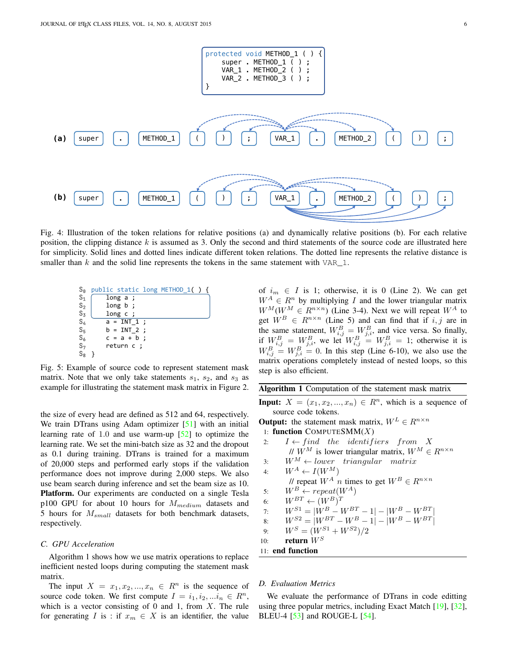<span id="page-5-1"></span>

Fig. 4: Illustration of the token relations for relative positions (a) and dynamically relative positions (b). For each relative position, the clipping distance  $k$  is assumed as 3. Only the second and third statements of the source code are illustrated here for simplicity. Solid lines and dotted lines indicate different token relations. The dotted line represents the relative distance is smaller than k and the solid line represents the tokens in the same statement with VAR  $\,$  1.

<span id="page-5-0"></span>
$$
\begin{array}{ll}\nS_0 & \text{public static long METHOD_1() } \{ \\
S_1 & \text{long a } ; \\
S_2 & \text{long b } ; \\
S_3 & \text{long c } ; \\
S_4 & a = INT_1 ; \\
S_5 & b = INT_2 ; \\
S_6 & c = a + b ; \\
S_7 & \text{return c } ; \\
S_8 & } \} \end{array}
$$

Fig. 5: Example of source code to represent statement mask matrix. Note that we only take statements  $s_1$ ,  $s_2$ , and  $s_3$  as example for illustrating the statement mask matrix in Figure [2.](#page-2-0)

the size of every head are defined as 512 and 64, respectively. We train DTrans using Adam optimizer [\[51\]](#page-13-37) with an initial learning rate of 1.0 and use warm-up [\[52\]](#page-13-38) to optimize the learning rate. We set the mini-batch size as 32 and the dropout as 0.1 during training. DTrans is trained for a maximum of 20,000 steps and performed early stops if the validation performance does not improve during 2,000 steps. We also use beam search during inference and set the beam size as 10. Platform. Our experiments are conducted on a single Tesla p100 GPU for about 10 hours for  $M_{medium}$  datasets and 5 hours for  $M_{small}$  datasets for both benchmark datasets, respectively.

#### <span id="page-5-2"></span>*C. GPU Acceleration*

Algorithm [1](#page-5-3) shows how we use matrix operations to replace inefficient nested loops during computing the statement mask matrix.

The input  $X = x_1, x_2, ..., x_n \in R^n$  is the sequence of source code token. We first compute  $I = i_1, i_2, \ldots i_n \in \mathbb{R}^n$ , which is a vector consisting of 0 and 1, from  $X$ . The rule for generating I is : if  $x_m \in X$  is an identifier, the value of  $i_m \in I$  is 1; otherwise, it is 0 (Line 2). We can get  $W^A \in \mathbb{R}^n$  by multiplying I and the lower triangular matrix  $W^M(W^M \in R^{n \times n})$  (Line 3-4). Next we will repeat  $W^A$  to get  $W^B \in R^{n \times n}$  (Line 5) and can find that if i, j are in the same statement,  $W_{i,j}^B = W_{j,i}^B$ , and vice versa. So finally, if  $W_{i,j}^B = W_{j,i}^B$ , we let  $W_{i,j}^B = W_{j,i}^B = 1$ ; otherwise it is  $W_{i,j}^B = W_{j,i}^B = 0$ . In this step (Line 6-10), we also use the matrix operations completely instead of nested loops, so this step is also efficient.

<span id="page-5-3"></span>

|  | Algorithm 1 Computation of the statement mask matrix |  |  |  |
|--|------------------------------------------------------|--|--|--|
|--|------------------------------------------------------|--|--|--|

**Input:**  $X = (x_1, x_2, ..., x_n) \in R^n$ , which is a sequence of source code tokens.

**Output:** the statement mask matrix,  $W^L \in R^{n \times n}$ 

- 1: function COMPUTESM $M(X)$
- 2:  $I \leftarrow find$  the identifiers from X //  $W^M$  is lower triangular matrix,  $W^M \in R^{n \times n}$ 3:  $W^M \leftarrow lower\ triangular\ matrix$ 4:  $W^A \leftarrow I(W^M)$ // repeat  $W^A$  n times to get  $W^B \in R^{n \times n}$ 5:  $W^B \leftarrow \text{repeat}(W^A)$ 6:  $W^{BT} \leftarrow (W^B)^T$

7: 
$$
W^{S1} = |W^B - W^{BT} - 1| - |W^B - W^{BT}|
$$

8:  $W^{S2} = |W^{BT} - W^B - 1| - |W^B - W^{BT}|$ 

9: 
$$
W^S = (W^{S1} + W^{S2})/2
$$

10: return  $W^S$ 

11: end function

# *D. Evaluation Metrics*

We evaluate the performance of DTrans in code editting using three popular metrics, including Exact Match [\[19\]](#page-13-7), [\[32\]](#page-13-19), BLEU-4 [\[53\]](#page-13-39) and ROUGE-L [\[54\]](#page-13-40).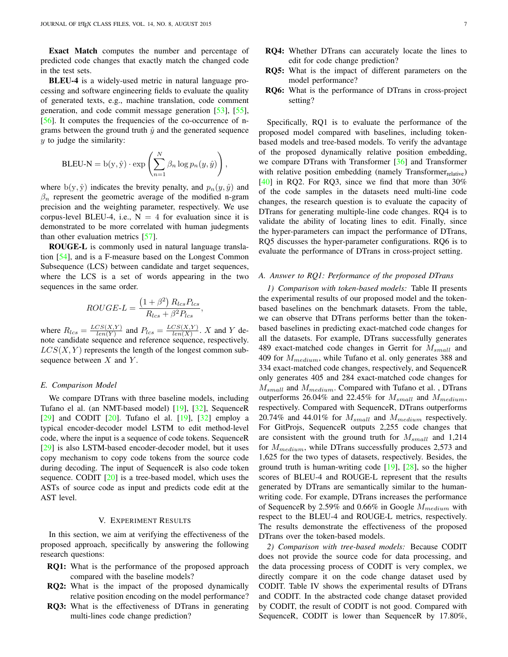Exact Match computes the number and percentage of predicted code changes that exactly match the changed code in the test sets.

BLEU-4 is a widely-used metric in natural language processing and software engineering fields to evaluate the quality of generated texts, e.g., machine translation, code comment generation, and code commit message generation [\[53\]](#page-13-39), [\[55\]](#page-14-0), [\[56\]](#page-14-1). It computes the frequencies of the co-occurrence of ngrams between the ground truth  $\hat{y}$  and the generated sequence  $y$  to judge the similarity:

$$
\text{BLEU-N} = \mathbf{b}(y, \hat{y}) \cdot \exp\left(\sum_{n=1}^{N} \beta_n \log p_n(y, \hat{y})\right),
$$

where  $b(y, \hat{y})$  indicates the brevity penalty, and  $p_n(y, \hat{y})$  and  $\beta_n$  represent the geometric average of the modified n-gram precision and the weighting parameter, respectively. We use corpus-level BLEU-4, i.e.,  $N = 4$  for evaluation since it is demonstrated to be more correlated with human judegments than other evaluation metrics [\[57\]](#page-14-2).

ROUGE-L is commonly used in natural language translation [\[54\]](#page-13-40), and is a F-measure based on the Longest Common Subsequence (LCS) between candidate and target sequences, where the LCS is a set of words appearing in the two sequences in the same order.

$$
ROUGE-L = \frac{(1+\beta^2) R_{lcs} P_{lcs}}{R_{lcs} + \beta^2 P_{lcs}},
$$

where  $R_{lcs} = \frac{LCS(X,Y)}{len(Y)}$  $\frac{CS(X,Y)}{len(Y)}$  and  $P_{lcs} = \frac{LCS(X,Y)}{len(X)}$  $\frac{US(X,Y)}{len(X)}$ . X and Y denote candidate sequence and reference sequence, respectively.  $LCS(X, Y)$  represents the length of the longest common subsequence between  $X$  and  $Y$ .

#### *E. Comparison Model*

We compare DTrans with three baseline models, including Tufano el al. (an NMT-based model) [\[19\]](#page-13-7), [\[32\]](#page-13-19), SequenceR [\[29\]](#page-13-16) and CODIT  $[20]$ . Tufano el al.  $[19]$ ,  $[32]$  employ a typical encoder-decoder model LSTM to edit method-level code, where the input is a sequence of code tokens. SequenceR [\[29\]](#page-13-16) is also LSTM-based encoder-decoder model, but it uses copy mechanism to copy code tokens from the source code during decoding. The input of SequenceR is also code token sequence. CODIT [\[20\]](#page-13-8) is a tree-based model, which uses the ASTs of source code as input and predicts code edit at the AST level.

#### V. EXPERIMENT RESULTS

<span id="page-6-0"></span>In this section, we aim at verifying the effectiveness of the proposed approach, specifically by answering the following research questions:

- RQ1: What is the performance of the proposed approach compared with the baseline models?
- RQ2: What is the impact of the proposed dynamically relative position encoding on the model performance?
- RQ3: What is the effectiveness of DTrans in generating multi-lines code change prediction?
- RQ4: Whether DTrans can accurately locate the lines to edit for code change prediction?
- RQ5: What is the impact of different parameters on the model performance?
- RQ6: What is the performance of DTrans in cross-project setting?

Specifically, RQ1 is to evaluate the performance of the proposed model compared with baselines, including tokenbased models and tree-based models. To verify the advantage of the proposed dynamically relative position embedding, we compare DTrans with Transformer [\[36\]](#page-13-23) and Transformer with relative position embedding (namely Transformer<sub>relative</sub>)  $[40]$  in RQ2. For RQ3, since we find that more than 30% of the code samples in the datasets need multi-line code changes, the research question is to evaluate the capacity of DTrans for generating multiple-line code changes. RQ4 is to validate the ability of locating lines to edit. Finally, since the hyper-parameters can impact the performance of DTrans, RQ5 discusses the hyper-parameter configurations. RQ6 is to evaluate the performance of DTrans in cross-project setting.

#### <span id="page-6-1"></span>*A. Answer to RQ1: Performance of the proposed DTrans*

*1) Comparison with token-based models:* Table [II](#page-7-0) presents the experimental results of our proposed model and the tokenbased baselines on the benchmark datasets. From the table, we can observe that DTrans performs better than the tokenbased baselines in predicting exact-matched code changes for all the datasets. For example, DTrans successfully generates 489 exact-matched code changes in Gerrit for  $M_{small}$  and 409 for  $M_{medium}$ , while Tufano et al. only generates 388 and 334 exact-matched code changes, respectively, and SequenceR only generates 405 and 284 exact-matched code changes for  $M_{small}$  and  $M_{medium}$ . Compared with Tufano et al., DTrans outperforms 26.04% and 22.45% for  $M_{small}$  and  $M_{medium}$ , respectively. Compared with SequenceR, DTrans outperforms 20.74% and 44.01% for  $M_{small}$  and  $M_{medium}$  respectively. For GitProjs, SequenceR outputs 2,255 code changes that are consistent with the ground truth for  $M_{small}$  and 1,214 for  $M_{medium}$ , while DTrans successfully produces 2,573 and 1,625 for the two types of datasets, respectively. Besides, the ground truth is human-writing code [\[19\]](#page-13-7), [\[28\]](#page-13-15), so the higher scores of BLEU-4 and ROUGE-L represent that the results generated by DTrans are semantically similar to the humanwriting code. For example, DTrans increases the performance of SequenceR by 2.59% and 0.66% in Google  $M_{medium}$  with respect to the BLEU-4 and ROUGE-L metrics, respectively. The results demonstrate the effectiveness of the proposed DTrans over the token-based models.

*2) Comparison with tree-based models:* Because CODIT does not provide the source code for data processing, and the data processing process of CODIT is very complex, we directly compare it on the code change dataset used by CODIT. Table [IV](#page-7-1) shows the experimental results of DTrans and CODIT. In the abstracted code change dataset provided by CODIT, the result of CODIT is not good. Compared with SequenceR, CODIT is lower than SequenceR by 17.80%,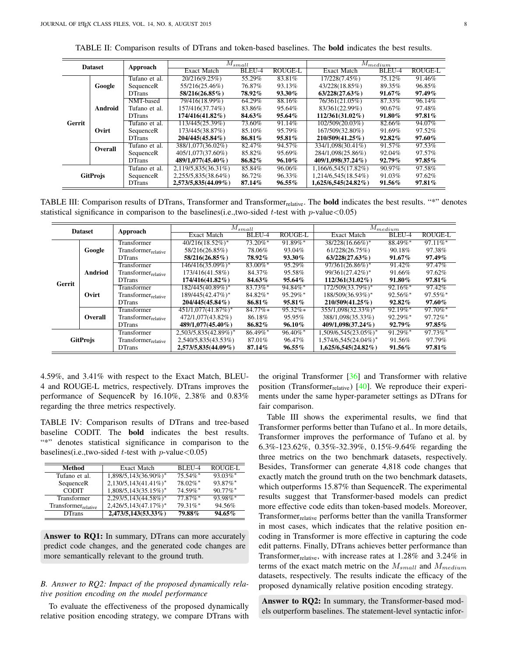TABLE II: Comparison results of DTrans and token-based baselines. The bold indicates the best results.

<span id="page-7-0"></span>

| <b>Dataset</b>  |                | Approach      |                     | $\overline{M}_{small}$ |                |                        | $M_{medium}$ |         |
|-----------------|----------------|---------------|---------------------|------------------------|----------------|------------------------|--------------|---------|
|                 |                |               | <b>Exact Match</b>  | BLEU-4                 | <b>ROUGE-L</b> | <b>Exact Match</b>     | BLEU-4       | ROUGE-L |
|                 |                | Tufano et al. | 20/216(9.25%)       | 55.29%                 | 83.81%         | 17/228(7.45%)          | 75.12%       | 91.46%  |
|                 | Google         | SequenceR     | 55/216(25.46%)      | 76.87%                 | 93.13%         | 43/228(18.85%)         | 89.35%       | 96.85%  |
|                 |                | <b>DTrans</b> | 58/216(26.85%)      | 78.92%                 | 93.30%         | $63/228(27.63\%)$      | 91.67%       | 97.49%  |
|                 |                | NMT-based     | 79/416(18.99%)      | 64.29%                 | 88.16%         | 76/361(21.05%)         | 87.33%       | 96.14%  |
|                 | <b>Android</b> | Tufano et al. | 157/416(37.74%)     | 83.86%                 | 95.64%         | 83/361(22.99%)         | 90.67%       | 97.48%  |
|                 |                | <b>DTrans</b> | 174/416(41.82%)     | 84.63%                 | 95.64%         | $112/361(31.02\%)$     | 91.80%       | 97.81%  |
| Gerrit          |                | Tufano et al. | 113/445(25.39%)     | 73.60%                 | 91.14%         | 102/509(20.03%)        | 82.66%       | 94.07%  |
|                 | Ovirt          | SequenceR     | 173/445(38.87%)     | 85.10%                 | 95.79%         | 167/509(32.80%)        | 91.69%       | 97.52%  |
|                 |                | <b>DTrans</b> | 204/445(45.84%)     | 86.81%                 | 95.81%         | 210/509(41.25%)        | 92.82%       | 97.60%  |
|                 | Overall        | Tufano et al. | 388/1,077(36.02%)   | 82.47%                 | 94.57%         | 334/1,098(30.41%)      | 91.57%       | 97.53%  |
|                 |                | SequenceR     | 405/1,077(37.60%)   | 85.82%                 | 95.69%         | 284/1.098(25.86%)      | 92.04%       | 97.57%  |
|                 |                | <b>DTrans</b> | 489/1,077(45.40%)   | 86.82%                 | 96.10%         | 409/1,098(37.24%)      | $92.79\%$    | 97.85%  |
| <b>GitProjs</b> |                | Tufano et al. | 2,119/5,835(36.31%) | 85.84%                 | 96.06%         | 1,166/6,545(17.82%)    | 90.97%       | 97.58%  |
|                 |                | SequenceR     | 2,255/5,835(38.64%) | 86.72%                 | 96.33%         | 1,214/6,545(18.54%)    | 91.03%       | 97.62%  |
|                 |                | <b>DTrans</b> | 2,573/5,835(44.09%) | 87.14%                 | $96.55\%$      | $1,625/6,545(24.82\%)$ | 91.56%       | 97.81%  |

<span id="page-7-2"></span>TABLE III: Comparison results of DTrans, Transformer and Transformer<sub>relative</sub>. The **bold** indicates the best results. "\*" denotes statistical significance in comparison to the baselines(i.e.,two-sided t-test with  $p$ -value $<0.05$ )

|                 | <b>Dataset</b> | Approach                        |                       | $M_{small}$            |                |                          | $\overline{M}_{medium}$ |                        |
|-----------------|----------------|---------------------------------|-----------------------|------------------------|----------------|--------------------------|-------------------------|------------------------|
|                 |                |                                 | <b>Exact Match</b>    | BLEU-4                 | <b>ROUGE-L</b> | <b>Exact Match</b>       | BLEU-4                  | <b>ROUGE-L</b>         |
|                 |                | Transformer                     | $40/216(18.52\%)$ *   | $73.20\%$ *            | $91.89\%$ *    | 38/228(16.66%)*          | 88.49%*                 | $97.11\%$ <sup>*</sup> |
|                 | Google         | Transformer <sub>relative</sub> | 58/216(26.85%)        | 78.06%                 | 93.04%         | 61/228(26.75%)           | 90.18%                  | 97.38%                 |
|                 |                | <b>DTrans</b>                   | 58/216(26.85%)        | 78.92%                 | 93.30%         | $63/228(27.63\%)$        | $91.67\%$               | 97.49%                 |
|                 |                | Transformer                     | 146/416(35.09%)*      | $83.00\%$ <sup>*</sup> | 95.29%         | 97/361(26.86%)*          | 91.42%                  | 97.47%                 |
|                 | <b>Andriod</b> | Transformer <sub>relative</sub> | 173/416(41.58%)       | 84.37%                 | 95.58%         | 99/361(27.42%)*          | 91.66%                  | 97.62%                 |
| Gerrit          |                | <b>DTrans</b>                   | $174/416(41.82\%)$    | 84.63%                 | 95.64%         | $112/361(31.02\%)$       | 91.80%                  | 97.81%                 |
|                 |                | <b>Transformer</b>              | 182/445(40.89%)*      | $83.73\%$ *            | $94.84\%$ *    | 172/509(33.79%)*         | $92.16\%$ *             | 97.42%                 |
|                 | Ovirt          | Transformer <sub>relative</sub> | 189/445(42.47%)*      | 84.82%*                | 95.29%*        | 188/509(36.93%)*         | $92.56\%$ *             | $97.55\%$ *            |
|                 |                | <b>DTrans</b>                   | $204/445(45.84\%)$    | 86.81%                 | $95.81\%$      | $210/509(41.25\%)$       | $92.82\%$               | 97.60%                 |
|                 |                | Transformer                     | $451/1,077(41.87%)$ * | $84.77\%*$             | $95.32\%*$     | 355/1,098(32.33%)*       | $92.19\%$ *             | $97.70\%$ *            |
|                 | Overall        | Transformer <sub>relative</sub> | 472/1,077(43.82%)     | 86.18%                 | 95.95%         | 388/1.098(35.33%)        | $92.29\%$ *             | $97.72\%$ *            |
|                 |                | <b>DTrans</b>                   | 489/1,077(45.40%)     | 86.82%                 | 96.10%         | 409/1,098(37.24%)        | $92.79\%$               | $97.85\%$              |
| <b>GitProjs</b> |                | Transformer                     | 2,503/5,835(42.89%)*  | $86.49\%$ *            | $96.40\%$ *    | 1,509/6,545(23.05%)*     | $91.29\%$ *             | $97.73\%$ <sup>*</sup> |
|                 |                | Transformer <sub>relative</sub> | 2,540/5,835(43.53%)   | 87.01%                 | 96.47%         | $1,574/6,545(24.04\%)^*$ | 91.56%                  | 97.79%                 |
|                 |                | <b>DTrans</b>                   | 2,573/5,835(44.09%)   | 87.14%                 | $96.55\%$      | $1,625/6,545(24.82\%)$   | 91.56%                  | 97.81%                 |

4.59%, and 3.41% with respect to the Exact Match, BLEU-4 and ROUGE-L metrics, respectively. DTrans improves the performance of SequenceR by 16.10%, 2.38% and 0.83% regarding the three metrics respectively.

<span id="page-7-1"></span>TABLE IV: Comparison results of DTrans and tree-based baseline CODIT. The bold indicates the best results. "\*" denotes statistical significance in comparison to the baselines(i.e.,two-sided *t*-test with  $p$ -value<0.05)

| Method                          | <b>Exact Match</b>      | BLEU-4      | ROUGE-L     |
|---------------------------------|-------------------------|-------------|-------------|
| Tufano et al.                   | 1,898/5,143(36.90%)*    | $75.54\%$ * | $93.03\%$ * |
| SequenceR                       | 2,130/5,143(41.41%)*    | 78.02%*     | 93.87%*     |
| <b>CODIT</b>                    | 1,808/5,143(35.15%)*    | 74.59%*     | $90.77\%$ * |
| Transformer                     | $2,293/5,143(44.58\%)*$ | $77.87\%$ * | $93.98\%$ * |
| Transformer <sub>relative</sub> | 2,426/5,143(47.17%)*    | 79.31%*     | 94.56%      |
| <b>DTrans</b>                   | $2,473/5,143(53.33\%)$  | 79.88%      | 94.65%      |

Answer to RQ1: In summary, DTrans can more accurately predict code changes, and the generated code changes are more semantically relevant to the ground truth.

# *B. Answer to RQ2: Impact of the proposed dynamically relative position encoding on the model performance*

To evaluate the effectiveness of the proposed dynamically relative position encoding strategy, we compare DTrans with the original Transformer [\[36\]](#page-13-23) and Transformer with relative position (Transformer $_{\text{relative}}$ ) [\[40\]](#page-13-26). We reproduce their experiments under the same hyper-parameter settings as DTrans for fair comparison.

Table [III](#page-7-2) shows the experimental results, we find that Transformer performs better than Tufano et al.. In more details, Transformer improves the performance of Tufano et al. by 6.3%-123.62%, 0.35%-32.39%, 0.15%-9.64% regarding the three metrics on the two benchmark datasets, respectively. Besides, Transformer can generate 4,818 code changes that exactly match the ground truth on the two benchmark datasets, which outperforms 15.87% than SequenceR. The experimental results suggest that Transformer-based models can predict more effective code edits than token-based models. Moreover, Transformer<sub>relative</sub> performs better than the vanilla Transformer in most cases, which indicates that the relative position encoding in Transformer is more effective in capturing the code edit patterns. Finally, DTrans achieves better performance than Transformer $r_{relative}$ , with increase rates at 1.28% and 3.24% in terms of the exact match metric on the  $M_{small}$  and  $M_{medium}$ datasets, respectively. The results indicate the efficacy of the proposed dynamically relative position encoding strategy.

Answer to RQ2: In summary, the Transformer-based models outperform baselines. The statement-level syntactic infor-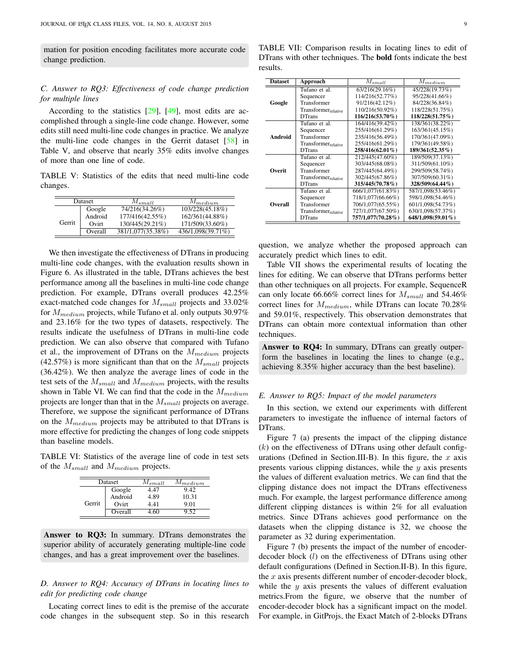mation for position encoding facilitates more accurate code change prediction.

# *C. Answer to RQ3: Effectiveness of code change prediction for multiple lines*

According to the statistics  $[29]$ ,  $[49]$ , most edits are accomplished through a single-line code change. However, some edits still need multi-line code changes in practice. We analyze the multi-line code changes in the Gerrit dataset [\[58\]](#page-14-3) in Table [V,](#page-8-0) and observe that nearly 35% edits involve changes of more than one line of code.

<span id="page-8-0"></span>TABLE V: Statistics of the edits that need multi-line code changes.

| Dataset |         | $M_{small}$       | $M_{medium}$      |  |
|---------|---------|-------------------|-------------------|--|
|         | Google  | 74/216(34.26%)    | 103/228(45.18%)   |  |
| Gerrit  | Android | 177/416(42.55%)   | 162/361(44.88%)   |  |
|         | Ovirt   | 130/445(29.21%)   | 171/509(33.60%)   |  |
|         | Overall | 381/1,077(35.38%) | 436/1,098(39.71%) |  |

We then investigate the effectiveness of DTrans in producing multi-line code changes, with the evaluation results shown in Figure [6.](#page-9-0) As illustrated in the table, DTrans achieves the best performance among all the baselines in multi-line code change prediction. For example, DTrans overall produces 42.25% exact-matched code changes for  $M_{small}$  projects and 33.02% for  $M_{medium}$  projects, while Tufano et al. only outputs 30.97% and 23.16% for the two types of datasets, respectively. The results indicate the usefulness of DTrans in multi-line code prediction. We can also observe that compared with Tufano et al., the improvement of DTrans on the  $M_{medium}$  projects (42.57%) is more significant than that on the  $M_{small}$  projects (36.42%). We then analyze the average lines of code in the test sets of the  $M_{small}$  and  $M_{medium}$  projects, with the results shown in Table [VI.](#page-8-1) We can find that the code in the  $M_{medium}$ projects are longer than that in the  $M_{small}$  projects on average. Therefore, we suppose the significant performance of DTrans on the  $M_{medium}$  projects may be attributed to that DTrans is more effective for predicting the changes of long code snippets than baseline models.

<span id="page-8-1"></span>TABLE VI: Statistics of the average line of code in test sets of the  $M_{small}$  and  $M_{medium}$  projects.

| Dataset |         | $M_{small}$ | $M_{medium}$ |  |
|---------|---------|-------------|--------------|--|
| Gerrit  | Google  | 147         | 9.42         |  |
|         | Android | 4.89        | 10.31        |  |
|         | Ovirt   | 441         | 9.01         |  |
|         | Overall |             | 152          |  |

Answer to RQ3: In summary. DTrans demonstrates the superior ability of accurately generating multiple-line code changes, and has a great improvement over the baselines.

# *D. Answer to RQ4: Accuracy of DTrans in locating lines to edit for predicting code change*

Locating correct lines to edit is the premise of the accurate code changes in the subsequent step. So in this research

<span id="page-8-2"></span>TABLE VII: Comparison results in locating lines to edit of DTrans with other techniques. The bold fonts indicate the best results.

| <b>Dataset</b> | Approach                        | $M_{small}$        | $M_{medium}$      |  |
|----------------|---------------------------------|--------------------|-------------------|--|
|                | Tufano et al.                   | 63/216(29.16%)     | 45/228(19.73%)    |  |
|                | Sequencer                       | 114/216(52.77%)    | 95/228(41.66%)    |  |
| Google         | Transformer                     | 91/216(42.12%)     | 84/228(36.84%)    |  |
|                | Transformer <sub>relative</sub> | 110/216(50.92%)    | 118/228(51.75%)   |  |
|                | <b>DTrans</b>                   | $116/216(53.70\%)$ | 118/228(51.75%)   |  |
|                | Tufano et al.                   | 164/416(39.42%)    | 138/361(38.22%)   |  |
|                | Sequencer                       | 255/416(61.29%)    | 163/361(45.15%)   |  |
| Android        | Transformer                     | 235/416(56.49%)    | 170/361(47.09%)   |  |
|                | Transformer <sub>relative</sub> | 255/416(61.29%)    | 179/361(49.58%)   |  |
|                | <b>DTrans</b>                   | 258/416(62.01%)    | 189/361(52.35%)   |  |
|                | Tufano et al.                   | 212/445(47.60%)    | 189/509(37.13%)   |  |
|                | Sequencer                       | 303/445(68.08%)    | 311/509(61.10%)   |  |
| Overit         | Transformer                     | 287/445(64.49%)    | 299/509(58.74%)   |  |
|                | Transformer <sub>relative</sub> | 302/445(67.86%)    | 307/509(60.31%)   |  |
|                | <b>DTrans</b>                   | 315/445(70.78%)    | 328/509(64.44%)   |  |
|                | Tufano et al.                   | 666/1,077(61.83%)  | 587/1,098(53.46%) |  |
|                | Sequencer                       | 718/1,077(66.66%)  | 598/1,098(54.46%) |  |
| Overall        | Transformer                     | 706/1,077(65.55%)  | 601/1,098(54.73%) |  |
|                | Transformer <sub>relative</sub> | 727/1,077(67.50%)  | 630/1,098(57.37%) |  |
|                | <b>DTrans</b>                   | 757/1,077(70.28%)  | 648/1,098(59.01%) |  |

question, we analyze whether the proposed approach can accurately predict which lines to edit.

Table [VII](#page-8-2) shows the experimental results of locating the lines for editing. We can observe that DTrans performs better than other techniques on all projects. For example, SequenceR can only locate 66.66% correct lines for  $M_{small}$  and 54.46% correct lines for  $M_{medium}$ , while DTrans can locate 70.28% and 59.01%, respectively. This observation demonstrates that DTrans can obtain more contextual information than other techniques.

Answer to RQ4: In summary, DTrans can greatly outperform the baselines in locating the lines to change (e.g., achieving 8.35% higher accuracy than the best baseline).

# <span id="page-8-3"></span>*E. Answer to RQ5: Impact of the model parameters*

In this section, we extend our experiments with different parameters to investigate the influence of internal factors of DTrans.

Figure [7](#page-9-1) (a) presents the impact of the clipping distance  $(k)$  on the effectiveness of DTrans using other default config-urations (Defined in Section[.III-B\)](#page-3-3). In this figure, the  $x$  axis presents various clipping distances, while the y axis presents the values of different evaluation metrics. We can find that the clipping distance does not impact the DTrans effectiveness much. For example, the largest performance difference among different clipping distances is within 2% for all evaluation metrics. Since DTrans achieves good performance on the datasets when the clipping distance is 32, we choose the parameter as 32 during experimentation.

Figure [7](#page-9-1) (b) presents the impact of the number of encoderdecoder block (l) on the effectiveness of DTrans using other default configurations (Defined in Section[.II-B\)](#page-2-3). In this figure, the  $x$  axis presents different number of encoder-decoder block, while the  $y$  axis presents the values of different evaluation metrics.From the figure, we observe that the number of encoder-decoder block has a significant impact on the model. For example, in GitProjs, the Exact Match of 2-blocks DTrans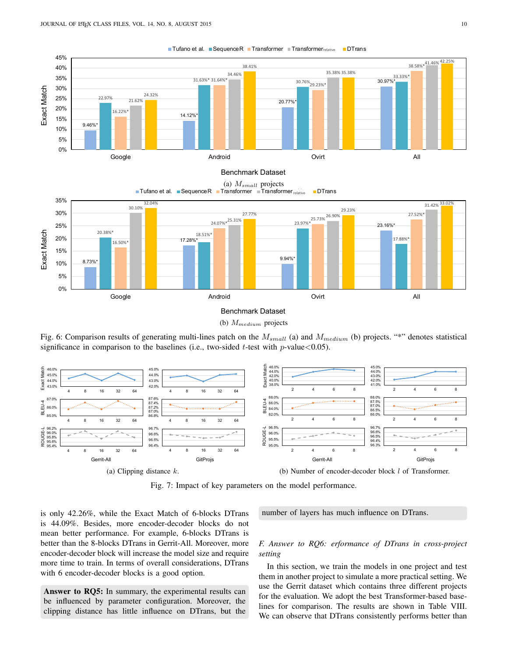<span id="page-9-0"></span>

**■Tufano et al. ■SequenceR ■Transformer ■Transformer**<sub>relative</sub> ■DTrans

(b)  $M_{medium}$  projects

Fig. 6: Comparison results of generating multi-lines patch on the  $M_{small}$  (a) and  $M_{medium}$  (b) projects. "\*" denotes statistical significance in comparison to the baselines (i.e., two-sided  $t$ -test with  $p$ -value < 0.05).

<span id="page-9-1"></span>

Fig. 7: Impact of key parameters on the model performance.

is only 42.26%, while the Exact Match of 6-blocks DTrans is 44.09%. Besides, more encoder-decoder blocks do not mean better performance. For example, 6-blocks DTrans is better than the 8-blocks DTrans in Gerrit-All. Moreover, more encoder-decoder block will increase the model size and require more time to train. In terms of overall considerations, DTrans with 6 encoder-decoder blocks is a good option.

Answer to RQ5: In summary, the experimental results can be influenced by parameter configuration. Moreover, the clipping distance has little influence on DTrans, but the number of layers has much influence on DTrans.

# *F. Answer to RQ6: erformance of DTrans in cross-project setting*

In this section, we train the models in one project and test them in another project to simulate a more practical setting. We use the Gerrit dataset which contains three different projects for the evaluation. We adopt the best Transformer-based baselines for comparison. The results are shown in Table [VIII.](#page-12-8) We can observe that DTrans consistently performs better than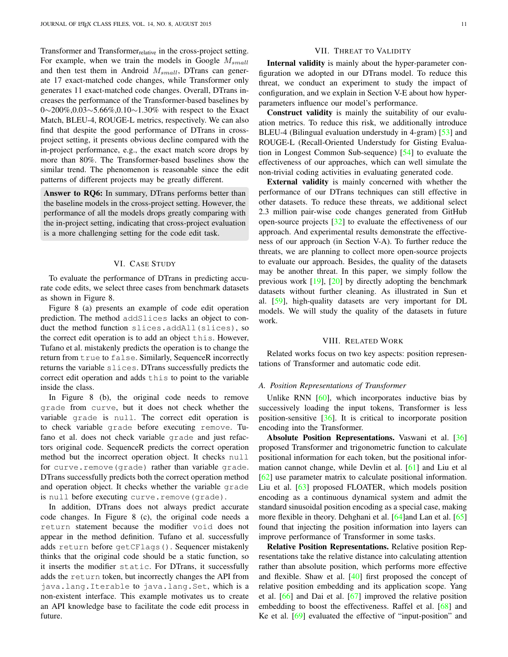Transformer and Transformer<sub>relative</sub> in the cross-project setting. For example, when we train the models in Google  $M_{small}$ and then test them in Android  $M_{small}$ , DTrans can generate 17 exact-matched code changes, while Transformer only generates 11 exact-matched code changes. Overall, DTrans increases the performance of the Transformer-based baselines by 0∼200%,0.03∼5.66%,0.10∼1.30% with respect to the Exact Match, BLEU-4, ROUGE-L metrics, respectively. We can also find that despite the good performance of DTrans in crossproject setting, it presents obvious decline compared with the in-project performance, e.g., the exact match score drops by more than 80%. The Transformer-based baselines show the similar trend. The phenomenon is reasonable since the edit patterns of different projects may be greatly different.

Answer to RQ6: In summary, DTrans performs better than the baseline models in the cross-project setting. However, the performance of all the models drops greatly comparing with the in-project setting, indicating that cross-project evaluation is a more challenging setting for the code edit task.

# VI. CASE STUDY

<span id="page-10-0"></span>To evaluate the performance of DTrans in predicting accurate code edits, we select three cases from benchmark datasets as shown in Figure [8.](#page-11-0)

Figure [8](#page-11-0) (a) presents an example of code edit operation prediction. The method addSlices lacks an object to conduct the method function slices.addAll(slices), so the correct edit operation is to add an object this. However, Tufano et al. mistakenly predicts the operation is to change the return from true to false. Similarly, SequenceR incorrectly returns the variable slices. DTrans successfully predicts the correct edit operation and adds this to point to the variable inside the class.

In Figure [8](#page-11-0) (b), the original code needs to remove grade from curve, but it does not check whether the variable grade is null. The correct edit operation is to check variable grade before executing remove. Tufano et al. does not check variable grade and just refactors original code. SequenceR predicts the correct operation method but the incorrect operation object. It checks null for curve.remove(grade) rather than variable grade. DTrans successfully predicts both the correct operation method and operation object. It checks whether the variable grade is null before executing curve.remove(grade).

In addition, DTrans does not always predict accurate code changes. In Figure [8](#page-11-0) (c), the original code needs a return statement because the modifier void does not appear in the method definition. Tufano et al. successfully adds return before getCFlags(). Sequencer mistakenly thinks that the original code should be a static function, so it inserts the modifier static. For DTrans, it successfully adds the return token, but incorrectly changes the API from java.lang.Iterable to java.lang.Set, which is a non-existent interface. This example motivates us to create an API knowledge base to facilitate the code edit process in future.

# VII. THREAT TO VALIDITY

<span id="page-10-1"></span>Internal validity is mainly about the hyper-parameter configuration we adopted in our DTrans model. To reduce this threat, we conduct an experiment to study the impact of configuration, and we explain in Section [V-E](#page-8-3) about how hyperparameters influence our model's performance.

Construct validity is mainly the suitability of our evaluation metrics. To reduce this risk, we additionally introduce BLEU-4 (Bilingual evaluation understudy in 4-gram) [\[53\]](#page-13-39) and ROUGE-L (Recall-Oriented Understudy for Gisting Evaluation in Longest Common Sub-sequence) [\[54\]](#page-13-40) to evaluate the effectiveness of our approaches, which can well simulate the non-trivial coding activities in evaluating generated code.

External validity is mainly concerned with whether the performance of our DTrans techniques can still effective in other datasets. To reduce these threats, we additional select 2.3 million pair-wise code changes generated from GitHub open-source projects [\[32\]](#page-13-19) to evaluate the effectiveness of our approach. And experimental results demonstrate the effectiveness of our approach (in Section [V-A\)](#page-6-1). To further reduce the threats, we are planning to collect more open-source projects to evaluate our approach. Besides, the quality of the datasets may be another threat. In this paper, we simply follow the previous work [\[19\]](#page-13-7), [\[20\]](#page-13-8) by directly adopting the benchmark datasets without further cleaning. As illustrated in Sun et al. [\[59\]](#page-14-4), high-quality datasets are very important for DL models. We will study the quality of the datasets in future work.

## VIII. RELATED WORK

<span id="page-10-2"></span>Related works focus on two key aspects: position representations of Transformer and automatic code edit.

#### *A. Position Representations of Transformer*

Unlike RNN  $[60]$ , which incorporates inductive bias by successively loading the input tokens, Transformer is less position-sensitive [\[36\]](#page-13-23). It is critical to incorporate position encoding into the Transformer.

Absolute Position Representations. Vaswani et al. [\[36\]](#page-13-23) proposed Transformer and trigonometric function to calculate positional information for each token, but the positional information cannot change, while Devlin et al. [\[61\]](#page-14-6) and Liu et al [\[62\]](#page-14-7) use parameter matrix to calculate positional information. Liu et al. [\[63\]](#page-14-8) proposed FLOATER, which models position encoding as a continuous dynamical system and admit the standard sinusoidal position encoding as a special case, making more flexible in theory. Dehghani et al. [\[64\]](#page-14-9)and Lan et al. [\[65\]](#page-14-10) found that injecting the position information into layers can improve performance of Transformer in some tasks.

Relative Position Representations. Relative position Representations take the relative distance into calculating attention rather than absolute position, which performs more effective and flexible. Shaw et al. [\[40\]](#page-13-26) first proposed the concept of relative position embedding and its application scope. Yang et al. [\[66\]](#page-14-11) and Dai et al. [\[67\]](#page-14-12) improved the relative position embedding to boost the effectiveness. Raffel et al. [\[68\]](#page-14-13) and Ke et al. [\[69\]](#page-14-14) evaluated the effective of "input-position" and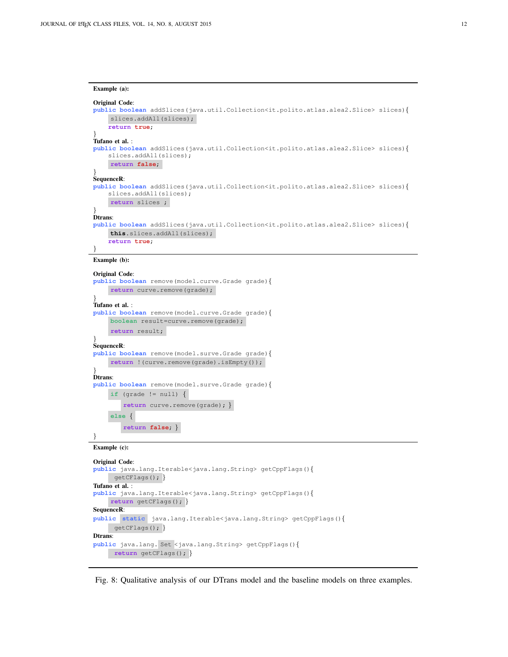```
Example (a):
Original Code:
public boolean addSlices(java.util.Collection<it.polito.atlas.alea2.Slice> slices){
    slices.addAll(slices);
    return true;
}
Tufano et al. :
public boolean addSlices(java.util.Collection<it.polito.atlas.alea2.Slice> slices){
    slices.addAll(slices);
    return false;
}
SequenceR:
public boolean addSlices(java.util.Collection<it.polito.atlas.alea2.Slice> slices){
    slices.addAll(slices);
    return slices ;
}
Dtrans:
public boolean addSlices(java.util.Collection<it.polito.atlas.alea2.Slice> slices){
    this.slices.addAll(slices);
    return true;
}
Example (b):
Original Code:
public boolean remove(model.curve.Grade grade){
    return curve.remove(grade);
}
Tufano et al. :
public boolean remove(model.curve.Grade grade){
    boolean result=curve.remove(grade);
    return result;
}
SequenceR:
public boolean remove(model.surve.Grade grade){
    return !(curve.remove(grade).isEmpty());
}
Dtrans:
public boolean remove(model.surve.Grade grade){
    if (grade != null) \{return curve.remove(grade); }
    else {
        return false; }
}
Example (c):
Original Code:
public java.lang.Iterable<java.lang.String> getCppFlags(){
     getCFlags(); }
Tufano et al. :
public java.lang.Iterable<java.lang.String> getCppFlags(){
    return getCFlags(); }
SequenceR:
public static java.lang.Iterable<java.lang.String> getCppFlags(){
     getCFlags(); }
Dtrans:
public java.lang. Set <java.lang.String> getCppFlags(){
```
**return** getCFlags(); }

Fig. 8: Qualitative analysis of our DTrans model and the baseline models on three examples.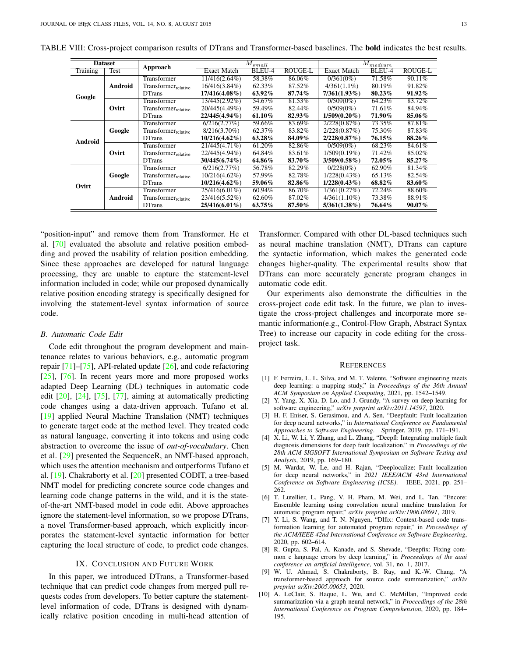| <b>Dataset</b>  |         | Approach                        |                    | $\overline{M}_{sm \underline{all}}$ |                | $M_{\it medium}$   |        |         |
|-----------------|---------|---------------------------------|--------------------|-------------------------------------|----------------|--------------------|--------|---------|
| <b>Training</b> | Test    |                                 | <b>Exact Match</b> | BLEU-4                              | <b>ROUGE-L</b> | <b>Exact Match</b> | BLEU-4 | ROUGE-L |
|                 |         | Transformer                     | 11/416(2.64%)      | 58.38%                              | 86.06%         | $0/361(0\%)$       | 71.58% | 90.11%  |
|                 | Android | Transformerrelative             | 16/416(3.84%)      | 62.33%                              | 87.52%         | $4/361(1.1\%)$     | 80.19% | 91.82%  |
| Google          |         | <b>DTrans</b>                   | $17/416(4.08\%)$   | 63.92%                              | 87.74%         | 7/361(1.93%)       | 80.23% | 91.92%  |
|                 |         | Transformer                     | 13/445(2.92%)      | 54.67%                              | 81.53%         | $0/509(0\%)$       | 64.23% | 83.72%  |
|                 | Ovirt   | Transformer <sub>relative</sub> | 20/445(4.49%)      | 59.49%                              | 82.44%         | $0/509(0\%)$       | 71.61% | 84.94%  |
|                 |         | <b>DTrans</b>                   | 22/445(4.94%)      | 61.10%                              | 82.93%         | $1/509(0.20\%)$    | 71.90% | 85.06%  |
|                 |         | Transformer                     | 6/216(2.77%)       | 59.66%                              | 83.69%         | 2/228(0.87%)       | 73.35% | 87.81%  |
|                 | Google  | Transformer <sub>relative</sub> | $8/216(3.70\%)$    | 62.37%                              | 83.82%         | 2/228(0.87%)       | 75.30% | 87.83%  |
| Android         |         | <b>DTrans</b>                   | $10/216(4.62\%)$   | 63.28%                              | 84.09%         | 2/228(0.87%)       | 76.15% | 88.26%  |
|                 |         | Transformer                     | 21/445(4.71%)      | 61.20%                              | 82.86%         | $0/509(0\%)$       | 68.23% | 84.61%  |
|                 | Ovirt   | Transformer <sub>relative</sub> | 22/445(4.94%)      | 64.84%                              | 83.61%         | $1/509(0.19\%)$    | 71.42% | 85.02%  |
|                 |         | <b>DTrans</b>                   | $30/445(6.74\%)$   | 64.86%                              | 83.70%         | $3/509(0.58\%)$    | 72.05% | 85.27%  |
|                 |         | Transformer                     | 6/216(2.77%)       | 56.78%                              | 82.29%         | $0/228(0\%)$       | 62.90% | 81.34%  |
|                 | Google  | Transformer <sub>relative</sub> | 10/216(4.62%)      | 57.99%                              | 82.78%         | $1/228(0.43\%)$    | 65.13% | 82.54%  |
| Ovirt           |         | <b>DTrans</b>                   | $10/216(4.62\%)$   | 59.06%                              | 82.86%         | $1/228(0.43\%)$    | 68.82% | 83.60%  |
|                 |         | Transformer                     | 25/416(6.01%)      | 60.94%                              | 86.70%         | 1/361(0.27%)       | 72.24% | 88.60%  |
|                 | Android | Transformer <sub>relative</sub> | 23/416(5.52%)      | 62.60%                              | 87.02%         | $4/361(1.10\%)$    | 73.38% | 88.91%  |
|                 |         | <b>DTrans</b>                   | 25/416(6.01%)      | 63.75%                              | 87.50%         | $5/361(1.38\%)$    | 76.64% | 90.07%  |

<span id="page-12-8"></span>TABLE VIII: Cross-project comparison results of DTrans and Transformer-based baselines. The bold indicates the best results.

"position-input" and remove them from Transformer. He et al. [\[70\]](#page-14-15) evaluated the absolute and relative position embedding and proved the usability of relation position embedding. Since these approaches are developed for natural language processing, they are unable to capture the statement-level information included in code; while our proposed dynamically relative position encoding strategy is specifically designed for involving the statement-level syntax information of source code.

#### *B. Automatic Code Edit*

Code edit throughout the program development and maintenance relates to various behaviors, e.g., automatic program repair  $[71]$ – $[75]$ , API-related update  $[26]$ , and code refactoring [\[25\]](#page-13-12), [\[76\]](#page-14-18). In recent years more and more proposed works adapted Deep Learning (DL) techniques in automatic code edit [\[20\]](#page-13-8), [\[24\]](#page-13-41), [\[75\]](#page-14-17), [\[77\]](#page-14-19), aiming at automatically predicting code changes using a data-driven approach. Tufano et al. [\[19\]](#page-13-7) applied Neural Machine Translation (NMT) techniques to generate target code at the method level. They treated code as natural language, converting it into tokens and using code abstraction to overcome the issue of *out-of-vocabulary*. Chen et al. [\[29\]](#page-13-16) presented the SequenceR, an NMT-based approach, which uses the attention mechanism and outperforms Tufano et al. [\[19\]](#page-13-7). Chakraborty et al. [\[20\]](#page-13-8) presented CODIT, a tree-based NMT model for predicting concrete source code changes and learning code change patterns in the wild, and it is the stateof-the-art NMT-based model in code edit. Above approaches ignore the statement-level information, so we propose DTrans, a novel Transformer-based approach, which explicitly incorporates the statement-level syntactic information for better capturing the local structure of code, to predict code changes.

# IX. CONCLUSION AND FUTURE WORK

<span id="page-12-7"></span>In this paper, we introduced DTrans, a Transformer-based technique that can predict code changes from merged pull requests codes from developers. To better capture the statementlevel information of code, DTrans is designed with dynamically relative position encoding in multi-head attention of

Transformer. Compared with other DL-based techniques such as neural machine translation (NMT), DTrans can capture the syntactic information, which makes the generated code changes higher-quality. The experimental results show that DTrans can more accurately generate program changes in automatic code edit.

Our experiments also demonstrate the difficulties in the cross-project code edit task. In the future, we plan to investigate the cross-project challenges and incorporate more semantic information(e.g., Control-Flow Graph, Abstract Syntax Tree) to increase our capacity in code editing for the crossproject task.

#### **REFERENCES**

- <span id="page-12-0"></span>[1] F. Ferreira, L. L. Silva, and M. T. Valente, "Software engineering meets deep learning: a mapping study," in *Proceedings of the 36th Annual ACM Symposium on Applied Computing*, 2021, pp. 1542–1549.
- <span id="page-12-1"></span>[2] Y. Yang, X. Xia, D. Lo, and J. Grundy, "A survey on deep learning for software engineering," *arXiv preprint arXiv:2011.14597*, 2020.
- <span id="page-12-2"></span>[3] H. F. Eniser, S. Gerasimou, and A. Sen, "Deepfault: Fault localization for deep neural networks," in *International Conference on Fundamental Approaches to Software Engineering*. Springer, 2019, pp. 171–191.
- [4] X. Li, W. Li, Y. Zhang, and L. Zhang, "Deepfl: Integrating multiple fault diagnosis dimensions for deep fault localization," in *Proceedings of the 28th ACM SIGSOFT International Symposium on Software Testing and Analysis*, 2019, pp. 169–180.
- <span id="page-12-3"></span>[5] M. Wardat, W. Le, and H. Rajan, "Deeplocalize: Fault localization for deep neural networks," in *2021 IEEE/ACM 43rd International Conference on Software Engineering (ICSE)*. IEEE, 2021, pp. 251– 262.
- <span id="page-12-4"></span>[6] T. Lutellier, L. Pang, V. H. Pham, M. Wei, and L. Tan, "Encore: Ensemble learning using convolution neural machine translation for automatic program repair," *arXiv preprint arXiv:1906.08691*, 2019.
- [7] Y. Li, S. Wang, and T. N. Nguyen, "Dlfix: Context-based code transformation learning for automated program repair," in *Proceedings of the ACM/IEEE 42nd International Conference on Software Engineering*, 2020, pp. 602–614.
- <span id="page-12-5"></span>[8] R. Gupta, S. Pal, A. Kanade, and S. Shevade, "Deepfix: Fixing common c language errors by deep learning," in *Proceedings of the aaai conference on artificial intelligence*, vol. 31, no. 1, 2017.
- <span id="page-12-6"></span>[9] W. U. Ahmad, S. Chakraborty, B. Ray, and K.-W. Chang, "A transformer-based approach for source code summarization," *arXiv preprint arXiv:2005.00653*, 2020.
- [10] A. LeClair, S. Haque, L. Wu, and C. McMillan, "Improved code summarization via a graph neural network," in *Proceedings of the 28th International Conference on Program Comprehension*, 2020, pp. 184– 195.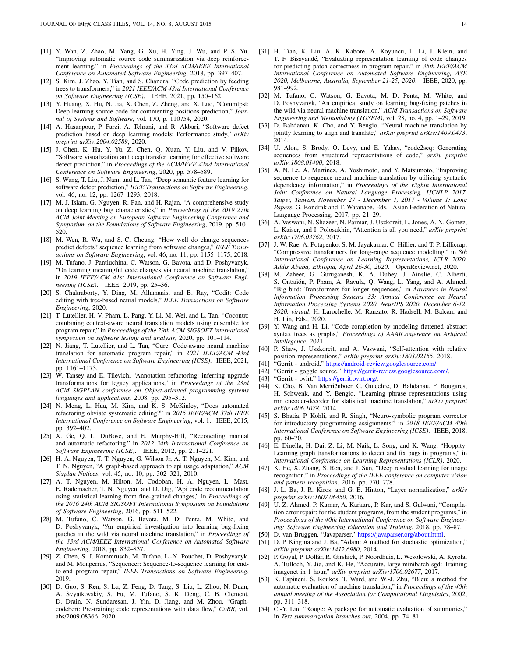- <span id="page-13-0"></span>[11] Y. Wan, Z. Zhao, M. Yang, G. Xu, H. Ying, J. Wu, and P. S. Yu, "Improving automatic source code summarization via deep reinforcement learning," in *Proceedings of the 33rd ACM/IEEE International Conference on Automated Software Engineering*, 2018, pp. 397–407.
- <span id="page-13-1"></span>[12] S. Kim, J. Zhao, Y. Tian, and S. Chandra, "Code prediction by feeding trees to transformers," in *2021 IEEE/ACM 43rd International Conference on Software Engineering (ICSE)*. IEEE, 2021, pp. 150–162.
- <span id="page-13-2"></span>[13] Y. Huang, X. Hu, N. Jia, X. Chen, Z. Zheng, and X. Luo, "Commtpst: Deep learning source code for commenting positions prediction," *Journal of Systems and Software*, vol. 170, p. 110754, 2020.
- <span id="page-13-3"></span>[14] A. Hasanpour, P. Farzi, A. Tehrani, and R. Akbari, "Software defect prediction based on deep learning models: Performance study," *arXiv preprint arXiv:2004.02589*, 2020.
- [15] J. Chen, K. Hu, Y. Yu, Z. Chen, Q. Xuan, Y. Liu, and V. Filkov, "Software visualization and deep transfer learning for effective software defect prediction," in *Proceedings of the ACM/IEEE 42nd International Conference on Software Engineering*, 2020, pp. 578–589.
- <span id="page-13-4"></span>[16] S. Wang, T. Liu, J. Nam, and L. Tan, "Deep semantic feature learning for software defect prediction," *IEEE Transactions on Software Engineering*, vol. 46, no. 12, pp. 1267–1293, 2018.
- <span id="page-13-5"></span>[17] M. J. Islam, G. Nguyen, R. Pan, and H. Rajan, "A comprehensive study on deep learning bug characteristics," in *Proceedings of the 2019 27th ACM Joint Meeting on European Software Engineering Conference and Symposium on the Foundations of Software Engineering*, 2019, pp. 510– 520.
- <span id="page-13-6"></span>[18] M. Wen, R. Wu, and S.-C. Cheung, "How well do change sequences predict defects? sequence learning from software changes," *IEEE Transactions on Software Engineering*, vol. 46, no. 11, pp. 1155–1175, 2018.
- <span id="page-13-7"></span>[19] M. Tufano, J. Pantiuchina, C. Watson, G. Bavota, and D. Poshyvanyk, "On learning meaningful code changes via neural machine translation," in *2019 IEEE/ACM 41st International Conference on Software Engineering (ICSE)*. IEEE, 2019, pp. 25–36.
- <span id="page-13-8"></span>[20] S. Chakraborty, Y. Ding, M. Allamanis, and B. Ray, "Codit: Code editing with tree-based neural models," *IEEE Transactions on Software Engineering*, 2020.
- <span id="page-13-9"></span>[21] T. Lutellier, H. V. Pham, L. Pang, Y. Li, M. Wei, and L. Tan, "Coconut: combining context-aware neural translation models using ensemble for program repair," in *Proceedings of the 29th ACM SIGSOFT international symposium on software testing and analysis*, 2020, pp. 101–114.
- <span id="page-13-10"></span>[22] N. Jiang, T. Lutellier, and L. Tan, "Cure: Code-aware neural machine translation for automatic program repair," in *2021 IEEE/ACM 43rd International Conference on Software Engineering (ICSE)*. IEEE, 2021, pp. 1161–1173.
- <span id="page-13-11"></span>[23] W. Tansey and E. Tilevich, "Annotation refactoring: inferring upgrade transformations for legacy applications," in *Proceedings of the 23rd ACM SIGPLAN conference on Object-oriented programming systems languages and applications*, 2008, pp. 295–312.
- <span id="page-13-41"></span>[24] N. Meng, L. Hua, M. Kim, and K. S. McKinley, "Does automated refactoring obviate systematic editing?" in *2015 IEEE/ACM 37th IEEE International Conference on Software Engineering*, vol. 1. IEEE, 2015, pp. 392–402.
- <span id="page-13-12"></span>[25] X. Ge, Q. L. DuBose, and E. Murphy-Hill, "Reconciling manual and automatic refactoring," in *2012 34th International Conference on Software Engineering (ICSE)*. IEEE, 2012, pp. 211–221.
- <span id="page-13-13"></span>[26] H. A. Nguyen, T. T. Nguyen, G. Wilson Jr, A. T. Nguyen, M. Kim, and T. N. Nguyen, "A graph-based approach to api usage adaptation," *ACM Sigplan Notices*, vol. 45, no. 10, pp. 302–321, 2010.
- <span id="page-13-14"></span>[27] A. T. Nguyen, M. Hilton, M. Codoban, H. A. Nguyen, L. Mast, E. Rademacher, T. N. Nguyen, and D. Dig, "Api code recommendation using statistical learning from fine-grained changes," in *Proceedings of the 2016 24th ACM SIGSOFT International Symposium on Foundations of Software Engineering*, 2016, pp. 511–522.
- <span id="page-13-15"></span>[28] M. Tufano, C. Watson, G. Bavota, M. Di Penta, M. White, and D. Poshyvanyk, "An empirical investigation into learning bug-fixing patches in the wild via neural machine translation," in *Proceedings of the 33rd ACM/IEEE International Conference on Automated Software Engineering*, 2018, pp. 832–837.
- <span id="page-13-16"></span>[29] Z. Chen, S. J. Kommrusch, M. Tufano, L.-N. Pouchet, D. Poshyvanyk, and M. Monperrus, "Sequencer: Sequence-to-sequence learning for endto-end program repair," *IEEE Transactions on Software Engineering*, 2019.
- <span id="page-13-17"></span>[30] D. Guo, S. Ren, S. Lu, Z. Feng, D. Tang, S. Liu, L. Zhou, N. Duan, A. Svyatkovskiy, S. Fu, M. Tufano, S. K. Deng, C. B. Clement, D. Drain, N. Sundaresan, J. Yin, D. Jiang, and M. Zhou, "Graphcodebert: Pre-training code representations with data flow," *CoRR*, vol. abs/2009.08366, 2020.
- <span id="page-13-18"></span>[31] H. Tian, K. Liu, A. K. Kaboré, A. Koyuncu, L. Li, J. Klein, and T. F. Bissyandé, "Evaluating representation learning of code changes for predicting patch correctness in program repair," in *35th IEEE/ACM International Conference on Automated Software Engineering, ASE 2020, Melbourne, Australia, September 21-25, 2020*. IEEE, 2020, pp. 981–992.
- <span id="page-13-19"></span>[32] M. Tufano, C. Watson, G. Bavota, M. D. Penta, M. White, and D. Poshyvanyk, "An empirical study on learning bug-fixing patches in the wild via neural machine translation," *ACM Transactions on Software Engineering and Methodology (TOSEM)*, vol. 28, no. 4, pp. 1–29, 2019.
- <span id="page-13-20"></span>[33] D. Bahdanau, K. Cho, and Y. Bengio, "Neural machine translation by jointly learning to align and translate," *arXiv preprint arXiv:1409.0473*,  $2014.$
- <span id="page-13-21"></span>[34] U. Alon, S. Brody, O. Levy, and E. Yahav, "code2seq: Generating sequences from structured representations of code," *arXiv preprint arXiv:1808.01400*, 2018.
- <span id="page-13-22"></span>[35] A. N. Le, A. Martinez, A. Yoshimoto, and Y. Matsumoto, "Improving sequence to sequence neural machine translation by utilizing syntactic dependency information," in *Proceedings of the Eighth International Joint Conference on Natural Language Processing, IJCNLP 2017, Taipei, Taiwan, November 27 - December 1, 2017 - Volume 1: Long Papers*, G. Kondrak and T. Watanabe, Eds. Asian Federation of Natural Language Processing, 2017, pp. 21–29.
- <span id="page-13-23"></span>[36] A. Vaswani, N. Shazeer, N. Parmar, J. Uszkoreit, L. Jones, A. N. Gomez, L. Kaiser, and I. Polosukhin, "Attention is all you need," *arXiv preprint arXiv:1706.03762*, 2017.
- [37] J. W. Rae, A. Potapenko, S. M. Jayakumar, C. Hillier, and T. P. Lillicrap, "Compressive transformers for long-range sequence modelling," in *8th International Conference on Learning Representations, ICLR 2020, Addis Ababa, Ethiopia, April 26-30, 2020*. OpenReview.net, 2020.
- <span id="page-13-24"></span>[38] M. Zaheer, G. Guruganesh, K. A. Dubey, J. Ainslie, C. Alberti, S. Ontañón, P. Pham, A. Ravula, Q. Wang, L. Yang, and A. Ahmed, "Big bird: Transformers for longer sequences," in *Advances in Neural Information Processing Systems 33: Annual Conference on Neural Information Processing Systems 2020, NeurIPS 2020, December 6-12, 2020, virtual*, H. Larochelle, M. Ranzato, R. Hadsell, M. Balcan, and H. Lin, Eds., 2020.
- <span id="page-13-25"></span>[39] Y. Wang and H. Li, "Code completion by modeling flattened abstract syntax trees as graphs," *Proceedings of AAAIConference on Artificial Intellegence*, 2021.
- <span id="page-13-26"></span>[40] P. Shaw, J. Uszkoreit, and A. Vaswani, "Self-attention with relative position representations," *arXiv preprint arXiv:1803.02155*, 2018.
- <span id="page-13-27"></span>[41] "Gerrit - android." [https://android-review.googlesource.com/.]( https://android-review.googlesource.com/)
- <span id="page-13-28"></span>[42] "Gerrit - goggle source." [https://gerrit-review.googlesource.com/.]( https://gerrit-review.googlesource.com/)
- <span id="page-13-29"></span>[43] "Gerrit - ovirt." [https://gerrit.ovirt.org/.]( https://gerrit.ovirt.org/)
- <span id="page-13-30"></span>[44] K. Cho, B. Van Merriënboer, C. Gulcehre, D. Bahdanau, F. Bougares, H. Schwenk, and Y. Bengio, "Learning phrase representations using rnn encoder-decoder for statistical machine translation," *arXiv preprint arXiv:1406.1078*, 2014.
- <span id="page-13-31"></span>[45] S. Bhatia, P. Kohli, and R. Singh, "Neuro-symbolic program corrector for introductory programming assignments," in *2018 IEEE/ACM 40th International Conference on Software Engineering (ICSE)*. IEEE, 2018, pp. 60–70.
- <span id="page-13-32"></span>[46] E. Dinella, H. Dai, Z. Li, M. Naik, L. Song, and K. Wang, "Hoppity: Learning graph transformations to detect and fix bugs in programs," in *International Conference on Learning Representations (ICLR)*, 2020.
- <span id="page-13-33"></span>[47] K. He, X. Zhang, S. Ren, and J. Sun, "Deep residual learning for image recognition," in *Proceedings of the IEEE conference on computer vision and pattern recognition*, 2016, pp. 770–778.
- <span id="page-13-34"></span>[48] J. L. Ba, J. R. Kiros, and G. E. Hinton, "Layer normalization," *arXiv preprint arXiv:1607.06450*, 2016.
- <span id="page-13-35"></span>[49] U. Z. Ahmed, P. Kumar, A. Karkare, P. Kar, and S. Gulwani, "Compilation error repair: for the student programs, from the student programs," in *Proceedings of the 40th International Conference on Software Engineering: Software Engineering Education and Training*, 2018, pp. 78–87.
- <span id="page-13-36"></span>[50] D. van Bruggen, "Javaparser," [https://javaparser.org/about.html.](https://javaparser.org/about.html)
- <span id="page-13-37"></span>[51] D. P. Kingma and J. Ba, "Adam: A method for stochastic optimization," *arXiv preprint arXiv:1412.6980*, 2014.
- <span id="page-13-38"></span>[52] P. Goyal, P. Dollár, R. Girshick, P. Noordhuis, L. Wesolowski, A. Kyrola, A. Tulloch, Y. Jia, and K. He, "Accurate, large minibatch sgd: Training imagenet in 1 hour," *arXiv preprint arXiv:1706.02677*, 2017.
- <span id="page-13-39"></span>[53] K. Papineni, S. Roukos, T. Ward, and W.-J. Zhu, "Bleu: a method for automatic evaluation of machine translation," in *Proceedings of the 40th annual meeting of the Association for Computational Linguistics*, 2002, pp. 311–318.
- <span id="page-13-40"></span>[54] C.-Y. Lin, "Rouge: A package for automatic evaluation of summaries," in *Text summarization branches out*, 2004, pp. 74–81.